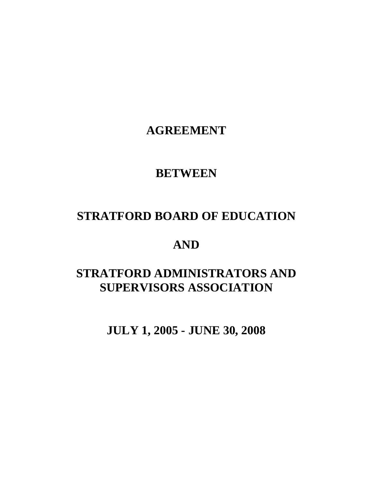**AGREEMENT** 

# **BETWEEN**

# **STRATFORD BOARD OF EDUCATION**

# **AND**

# **STRATFORD ADMINISTRATORS AND SUPERVISORS ASSOCIATION**

 **JULY 1, 2005 - JUNE 30, 2008**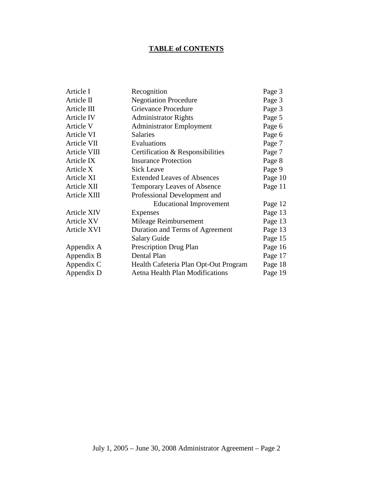# **TABLE of CONTENTS**

| Article I         | Recognition                            | Page 3  |
|-------------------|----------------------------------------|---------|
| Article II        | <b>Negotiation Procedure</b>           | Page 3  |
| Article III       | Grievance Procedure                    | Page 3  |
| Article IV        | <b>Administrator Rights</b>            | Page 5  |
| Article V         | <b>Administrator Employment</b>        | Page 6  |
| Article VI        | <b>Salaries</b>                        | Page 6  |
| Article VII       | Evaluations                            | Page 7  |
| Article VIII      | Certification & Responsibilities       | Page 7  |
| Article IX        | <b>Insurance Protection</b>            | Page 8  |
| Article X         | <b>Sick Leave</b>                      | Page 9  |
| Article XI        | <b>Extended Leaves of Absences</b>     | Page 10 |
| Article XII       | <b>Temporary Leaves of Absence</b>     | Page 11 |
| Article XIII      | Professional Development and           |         |
|                   | <b>Educational Improvement</b>         | Page 12 |
| Article XIV       | Expenses                               | Page 13 |
| <b>Article XV</b> | Mileage Reimbursement                  | Page 13 |
| Article XVI       | Duration and Terms of Agreement        | Page 13 |
|                   | <b>Salary Guide</b>                    | Page 15 |
| Appendix A        | <b>Prescription Drug Plan</b>          | Page 16 |
| Appendix B        | Dental Plan                            | Page 17 |
| Appendix C        | Health Cafeteria Plan Opt-Out Program  | Page 18 |
| Appendix D        | <b>Aetna Health Plan Modifications</b> | Page 19 |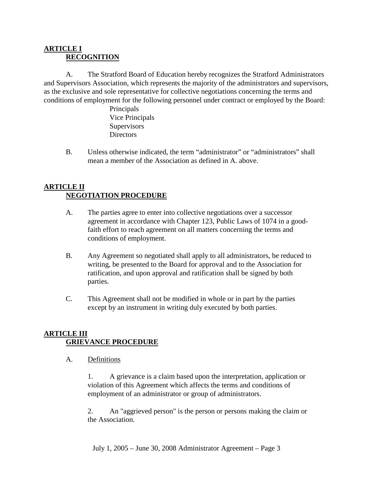#### **ARTICLE I RECOGNITION**

A. The Stratford Board of Education hereby recognizes the Stratford Administrators and Supervisors Association, which represents the majority of the administrators and supervisors, as the exclusive and sole representative for collective negotiations concerning the terms and conditions of employment for the following personnel under contract or employed by the Board:

> Principals Vice Principals **Supervisors Directors**

B. Unless otherwise indicated, the term "administrator" or "administrators" shall mean a member of the Association as defined in A. above.

# **ARTICLE II NEGOTIATION PROCEDURE**

- A. The parties agree to enter into collective negotiations over a successor agreement in accordance with Chapter 123, Public Laws of 1074 in a goodfaith effort to reach agreement on all matters concerning the terms and conditions of employment.
- B. Any Agreement so negotiated shall apply to all administrators, be reduced to writing, be presented to the Board for approval and to the Association for ratification, and upon approval and ratification shall be signed by both parties.
- C. This Agreement shall not be modified in whole or in part by the parties except by an instrument in writing duly executed by both parties.

# **ARTICLE III GRIEVANCE PROCEDURE**

A. Definitions

1. A grievance is a claim based upon the interpretation, application or violation of this Agreement which affects the terms and conditions of employment of an administrator or group of administrators.

2. An "aggrieved person" is the person or persons making the claim or the Association.

July 1, 2005 – June 30, 2008 Administrator Agreement – Page 3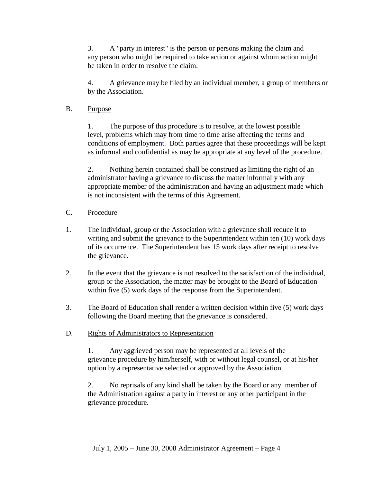3. A "party in interest" is the person or persons making the claim and any person who might be required to take action or against whom action might be taken in order to resolve the claim.

4. A grievance may be filed by an individual member, a group of members or by the Association.

#### B. Purpose

1. The purpose of this procedure is to resolve, at the lowest possible level, problems which may from time to time arise affecting the terms and conditions of employment. Both parties agree that these proceedings will be kept as informal and confidential as may be appropriate at any level of the procedure.

2. Nothing herein contained shall be construed as limiting the right of an administrator having a grievance to discuss the matter informally with any appropriate member of the administration and having an adjustment made which is not inconsistent with the terms of this Agreement.

- C. Procedure
- 1. The individual, group or the Association with a grievance shall reduce it to writing and submit the grievance to the Superintendent within ten (10) work days of its occurrence. The Superintendent has 15 work days after receipt to resolve the grievance.
- 2. In the event that the grievance is not resolved to the satisfaction of the individual, group or the Association, the matter may be brought to the Board of Education within five (5) work days of the response from the Superintendent.
- 3. The Board of Education shall render a written decision within five (5) work days following the Board meeting that the grievance is considered.
- D. Rights of Administrators to Representation

1. Any aggrieved person may be represented at all levels of the grievance procedure by him/herself, with or without legal counsel, or at his/her option by a representative selected or approved by the Association.

2. No reprisals of any kind shall be taken by the Board or any member of the Administration against a party in interest or any other participant in the grievance procedure.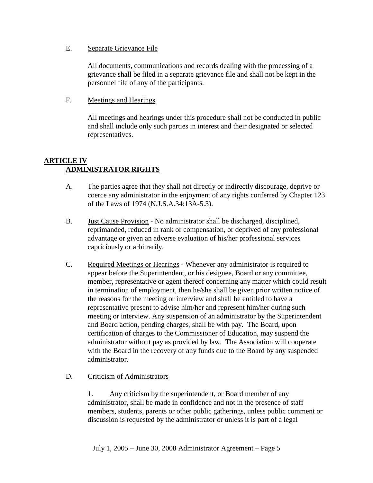#### E. Separate Grievance File

All documents, communications and records dealing with the processing of a grievance shall be filed in a separate grievance file and shall not be kept in the personnel file of any of the participants.

#### F. Meetings and Hearings

All meetings and hearings under this procedure shall not be conducted in public and shall include only such parties in interest and their designated or selected representatives.

# **ARTICLE IV ADMINISTRATOR RIGHTS**

- A. The parties agree that they shall not directly or indirectly discourage, deprive or coerce any administrator in the enjoyment of any rights conferred by Chapter 123 of the Laws of 1974 (N.J.S.A.34:13A-5.3).
- B. Just Cause Provision No administrator shall be discharged, disciplined, reprimanded, reduced in rank or compensation, or deprived of any professional advantage or given an adverse evaluation of his/her professional services capriciously or arbitrarily.
- C. Required Meetings or Hearings Whenever any administrator is required to appear before the Superintendent, or his designee, Board or any committee, member, representative or agent thereof concerning any matter which could result in termination of employment, then he/she shall be given prior written notice of the reasons for the meeting or interview and shall be entitled to have a representative present to advise him/her and represent him/her during such meeting or interview. Any suspension of an administrator by the Superintendent and Board action, pending charges, shall be with pay. The Board, upon certification of charges to the Commissioner of Education, may suspend the administrator without pay as provided by law. The Association will cooperate with the Board in the recovery of any funds due to the Board by any suspended administrator.

#### D. Criticism of Administrators

1. Any criticism by the superintendent, or Board member of any administrator, shall be made in confidence and not in the presence of staff members, students, parents or other public gatherings, unless public comment or discussion is requested by the administrator or unless it is part of a legal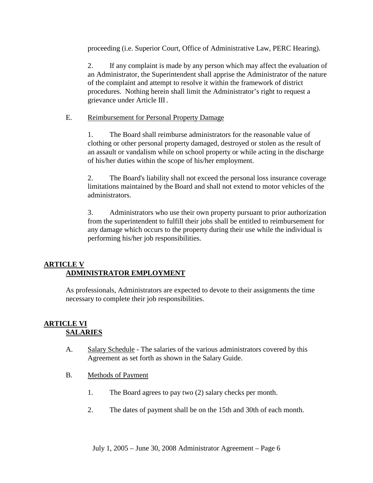proceeding (i.e. Superior Court, Office of Administrative Law, PERC Hearing).

2. If any complaint is made by any person which may affect the evaluation of an Administrator, the Superintendent shall apprise the Administrator of the nature of the complaint and attempt to resolve it within the framework of district procedures. Nothing herein shall limit the Administrator's right to request a grievance under Article III.

#### E. Reimbursement for Personal Property Damage

1. The Board shall reimburse administrators for the reasonable value of clothing or other personal property damaged, destroyed or stolen as the result of an assault or vandalism while on school property or while acting in the discharge of his/her duties within the scope of his/her employment.

2. The Board's liability shall not exceed the personal loss insurance coverage limitations maintained by the Board and shall not extend to motor vehicles of the administrators.

3. Administrators who use their own property pursuant to prior authorization from the superintendent to fulfill their jobs shall be entitled to reimbursement for any damage which occurs to the property during their use while the individual is performing his/her job responsibilities.

## **ARTICLE V ADMINISTRATOR EMPLOYMENT**

As professionals, Administrators are expected to devote to their assignments the time necessary to complete their job responsibilities.

#### **ARTICLE VI SALARIES**

- A. Salary Schedule The salaries of the various administrators covered by this Agreement as set forth as shown in the Salary Guide.
- B. Methods of Payment
	- 1. The Board agrees to pay two (2) salary checks per month.
	- 2. The dates of payment shall be on the 15th and 30th of each month.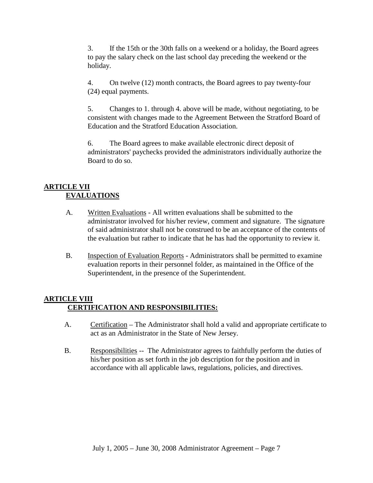3. If the 15th or the 30th falls on a weekend or a holiday, the Board agrees to pay the salary check on the last school day preceding the weekend or the holiday.

4. On twelve (12) month contracts, the Board agrees to pay twenty-four (24) equal payments.

5. Changes to 1. through 4. above will be made, without negotiating, to be consistent with changes made to the Agreement Between the Stratford Board of Education and the Stratford Education Association.

6. The Board agrees to make available electronic direct deposit of administrators' paychecks provided the administrators individually authorize the Board to do so.

# **ARTICLE VII EVALUATIONS**

- A. Written Evaluations All written evaluations shall be submitted to the administrator involved for his/her review, comment and signature. The signature of said administrator shall not be construed to be an acceptance of the contents of the evaluation but rather to indicate that he has had the opportunity to review it.
- B. Inspection of Evaluation Reports Administrators shall be permitted to examine evaluation reports in their personnel folder, as maintained in the Office of the Superintendent, in the presence of the Superintendent.

## **ARTICLE VIII CERTIFICATION AND RESPONSIBILITIES:**

- A. Certification The Administrator shall hold a valid and appropriate certificate to act as an Administrator in the State of New Jersey.
- B. Responsibilities -- The Administrator agrees to faithfully perform the duties of his/her position as set forth in the job description for the position and in accordance with all applicable laws, regulations, policies, and directives.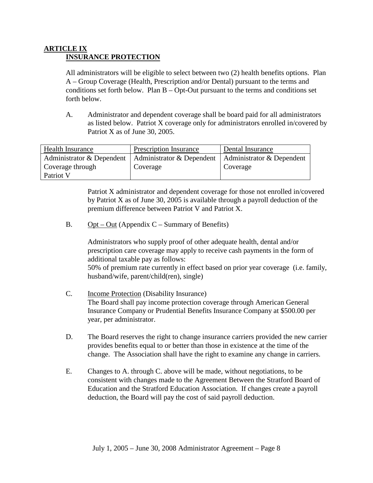#### **ARTICLE IX INSURANCE PROTECTION**

All administrators will be eligible to select between two (2) health benefits options. Plan A – Group Coverage (Health, Prescription and/or Dental) pursuant to the terms and conditions set forth below. Plan B – Opt-Out pursuant to the terms and conditions set forth below.

A. Administrator and dependent coverage shall be board paid for all administrators as listed below. Patriot X coverage only for administrators enrolled in/covered by Patriot X as of June 30, 2005.

| <b>Health Insurance</b>   | <b>Prescription Insurance</b> | Dental Insurance          |
|---------------------------|-------------------------------|---------------------------|
| Administrator & Dependent | Administrator & Dependent     | Administrator & Dependent |
| Coverage through          | Coverage                      | Coverage                  |
| Patriot V                 |                               |                           |

Patriot X administrator and dependent coverage for those not enrolled in/covered by Patriot X as of June 30, 2005 is available through a payroll deduction of the premium difference between Patriot V and Patriot X.

B. Opt – Out (Appendix  $C$  – Summary of Benefits)

Administrators who supply proof of other adequate health, dental and/or prescription care coverage may apply to receive cash payments in the form of additional taxable pay as follows: 50% of premium rate currently in effect based on prior year coverage (i.e. family, husband/wife, parent/child(ren), single)

- C. Income Protection (Disability Insurance) The Board shall pay income protection coverage through American General Insurance Company or Prudential Benefits Insurance Company at \$500.00 per year, per administrator.
- D. The Board reserves the right to change insurance carriers provided the new carrier provides benefits equal to or better than those in existence at the time of the change. The Association shall have the right to examine any change in carriers.
- E. Changes to A. through C. above will be made, without negotiations, to be consistent with changes made to the Agreement Between the Stratford Board of Education and the Stratford Education Association. If changes create a payroll deduction, the Board will pay the cost of said payroll deduction.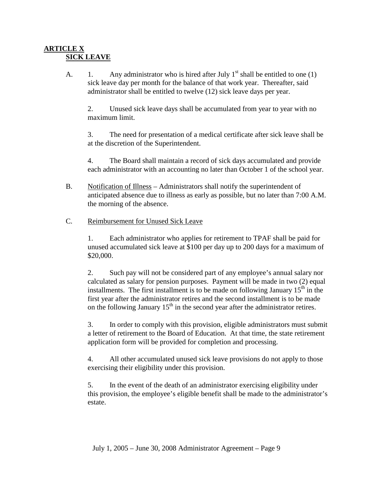#### **ARTICLE X SICK LEAVE**

A. 1. Any administrator who is hired after July  $1<sup>st</sup>$  shall be entitled to one (1) sick leave day per month for the balance of that work year. Thereafter, said administrator shall be entitled to twelve (12) sick leave days per year.

2. Unused sick leave days shall be accumulated from year to year with no maximum limit.

3. The need for presentation of a medical certificate after sick leave shall be at the discretion of the Superintendent.

4. The Board shall maintain a record of sick days accumulated and provide each administrator with an accounting no later than October 1 of the school year.

- B. Notification of Illness Administrators shall notify the superintendent of anticipated absence due to illness as early as possible, but no later than 7:00 A.M. the morning of the absence.
- C. Reimbursement for Unused Sick Leave

1. Each administrator who applies for retirement to TPAF shall be paid for unused accumulated sick leave at \$100 per day up to 200 days for a maximum of \$20,000.

2. Such pay will not be considered part of any employee's annual salary nor calculated as salary for pension purposes. Payment will be made in two (2) equal installments. The first installment is to be made on following January  $15<sup>th</sup>$  in the first year after the administrator retires and the second installment is to be made on the following January  $15<sup>th</sup>$  in the second year after the administrator retires.

3. In order to comply with this provision, eligible administrators must submit a letter of retirement to the Board of Education. At that time, the state retirement application form will be provided for completion and processing.

4. All other accumulated unused sick leave provisions do not apply to those exercising their eligibility under this provision.

5. In the event of the death of an administrator exercising eligibility under this provision, the employee's eligible benefit shall be made to the administrator's estate.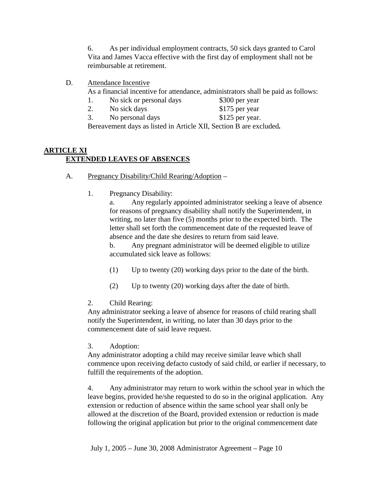6. As per individual employment contracts, 50 sick days granted to Carol Vita and James Vacca effective with the first day of employment shall not be reimbursable at retirement.

D. Attendance Incentive

As a financial incentive for attendance, administrators shall be paid as follows:

- 1. No sick or personal days \$300 per year
- 2. No sick days \$175 per year
- 3. No personal days \$125 per year.

Bereavement days as listed in Article XII, Section B are excluded*.*

#### **ARTICLE XI EXTENDED LEAVES OF ABSENCES**

- A. Pregnancy Disability/Child Rearing/Adoption
	- 1. Pregnancy Disability:

a. Any regularly appointed administrator seeking a leave of absence for reasons of pregnancy disability shall notify the Superintendent, in writing, no later than five (5) months prior to the expected birth. The letter shall set forth the commencement date of the requested leave of absence and the date she desires to return from said leave.

b. Any pregnant administrator will be deemed eligible to utilize accumulated sick leave as follows:

- (1) Up to twenty (20) working days prior to the date of the birth.
- (2) Up to twenty (20) working days after the date of birth.

#### 2. Child Rearing:

Any administrator seeking a leave of absence for reasons of child rearing shall notify the Superintendent, in writing, no later than 30 days prior to the commencement date of said leave request.

3. Adoption:

Any administrator adopting a child may receive similar leave which shall commence upon receiving defacto custody of said child, or earlier if necessary, to fulfill the requirements of the adoption.

4. Any administrator may return to work within the school year in which the leave begins, provided he/she requested to do so in the original application. Any extension or reduction of absence within the same school year shall only be allowed at the discretion of the Board, provided extension or reduction is made following the original application but prior to the original commencement date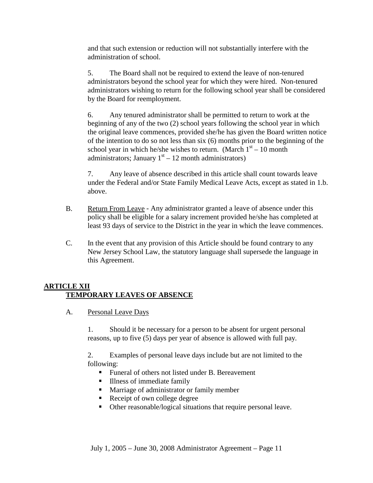and that such extension or reduction will not substantially interfere with the administration of school.

5. The Board shall not be required to extend the leave of non-tenured administrators beyond the school year for which they were hired. Non-tenured administrators wishing to return for the following school year shall be considered by the Board for reemployment.

6. Any tenured administrator shall be permitted to return to work at the beginning of any of the two (2) school years following the school year in which the original leave commences, provided she/he has given the Board written notice of the intention to do so not less than six (6) months prior to the beginning of the school year in which he/she wishes to return. (March  $1<sup>st</sup> - 10$  month administrators; January  $1<sup>st</sup> - 12$  month administrators)

7. Any leave of absence described in this article shall count towards leave under the Federal and/or State Family Medical Leave Acts, except as stated in 1.b. above.

- B. Return From Leave Any administrator granted a leave of absence under this policy shall be eligible for a salary increment provided he/she has completed at least 93 days of service to the District in the year in which the leave commences.
- C. In the event that any provision of this Article should be found contrary to any New Jersey School Law, the statutory language shall supersede the language in this Agreement.

## **ARTICLE XII TEMPORARY LEAVES OF ABSENCE**

A. Personal Leave Days

1. Should it be necessary for a person to be absent for urgent personal reasons, up to five (5) days per year of absence is allowed with full pay.

2. Examples of personal leave days include but are not limited to the following:

- **Funeral of others not listed under B. Bereavement**
- **Illness of immediate family**
- -Marriage of administrator or family member
- Receipt of own college degree
- -Other reasonable/logical situations that require personal leave.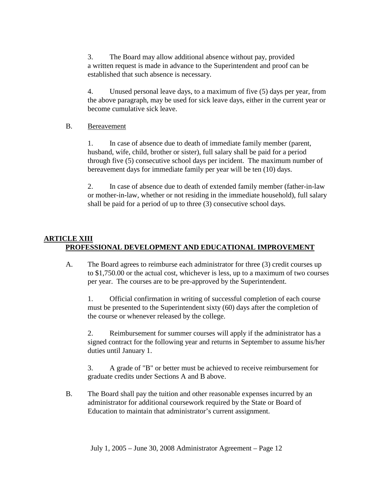3. The Board may allow additional absence without pay, provided a written request is made in advance to the Superintendent and proof can be established that such absence is necessary.

4. Unused personal leave days, to a maximum of five (5) days per year, from the above paragraph, may be used for sick leave days, either in the current year or become cumulative sick leave.

#### B. Bereavement

1. In case of absence due to death of immediate family member (parent, husband, wife, child, brother or sister), full salary shall be paid for a period through five (5) consecutive school days per incident. The maximum number of bereavement days for immediate family per year will be ten (10) days.

2. In case of absence due to death of extended family member (father-in-law or mother-in-law, whether or not residing in the immediate household), full salary shall be paid for a period of up to three (3) consecutive school days.

# **ARTICLE XIII PROFESSIONAL DEVELOPMENT AND EDUCATIONAL IMPROVEMENT**

A. The Board agrees to reimburse each administrator for three (3) credit courses up to \$1,750.00 or the actual cost, whichever is less, up to a maximum of two courses per year. The courses are to be pre-approved by the Superintendent.

1. Official confirmation in writing of successful completion of each course must be presented to the Superintendent sixty (60) days after the completion of the course or whenever released by the college.

2. Reimbursement for summer courses will apply if the administrator has a signed contract for the following year and returns in September to assume his/her duties until January 1.

3. A grade of "B" or better must be achieved to receive reimbursement for graduate credits under Sections A and B above.

B. The Board shall pay the tuition and other reasonable expenses incurred by an administrator for additional coursework required by the State or Board of Education to maintain that administrator's current assignment.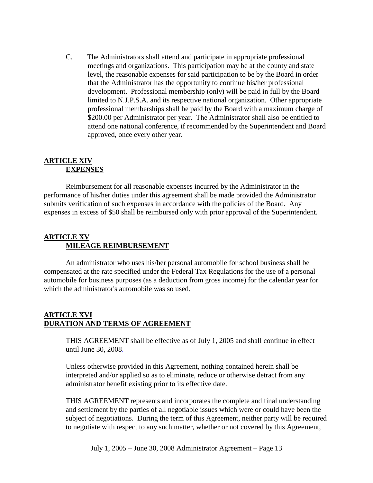C. The Administrators shall attend and participate in appropriate professional meetings and organizations. This participation may be at the county and state level, the reasonable expenses for said participation to be by the Board in order that the Administrator has the opportunity to continue his/her professional development. Professional membership (only) will be paid in full by the Board limited to N.J.P.S.A. and its respective national organization. Other appropriate professional memberships shall be paid by the Board with a maximum charge of \$200.00 per Administrator per year. The Administrator shall also be entitled to attend one national conference, if recommended by the Superintendent and Board approved, once every other year.

#### **ARTICLE XIV EXPENSES**

Reimbursement for all reasonable expenses incurred by the Administrator in the performance of his/her duties under this agreement shall be made provided the Administrator submits verification of such expenses in accordance with the policies of the Board. Any expenses in excess of \$50 shall be reimbursed only with prior approval of the Superintendent.

#### **ARTICLE XV MILEAGE REIMBURSEMENT**

An administrator who uses his/her personal automobile for school business shall be compensated at the rate specified under the Federal Tax Regulations for the use of a personal automobile for business purposes (as a deduction from gross income) for the calendar year for which the administrator's automobile was so used.

#### **ARTICLE XVI DURATION AND TERMS OF AGREEMENT**

THIS AGREEMENT shall be effective as of July 1, 2005 and shall continue in effect until June 30, 2008.

Unless otherwise provided in this Agreement, nothing contained herein shall be interpreted and/or applied so as to eliminate, reduce or otherwise detract from any administrator benefit existing prior to its effective date.

THIS AGREEMENT represents and incorporates the complete and final understanding and settlement by the parties of all negotiable issues which were or could have been the subject of negotiations. During the term of this Agreement, neither party will be required to negotiate with respect to any such matter, whether or not covered by this Agreement,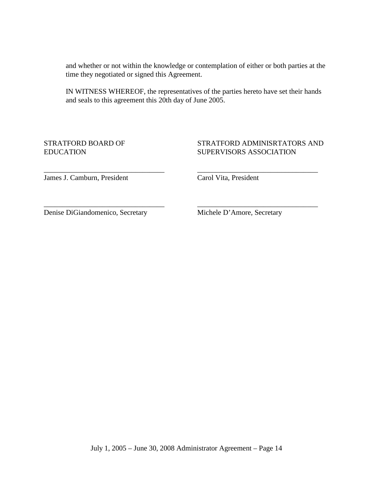and whether or not within the knowledge or contemplation of either or both parties at the time they negotiated or signed this Agreement.

IN WITNESS WHEREOF, the representatives of the parties hereto have set their hands and seals to this agreement this 20th day of June 2005.

\_\_\_\_\_\_\_\_\_\_\_\_\_\_\_\_\_\_\_\_\_\_\_\_\_\_\_\_\_\_\_\_\_ \_\_\_\_\_\_\_\_\_\_\_\_\_\_\_\_\_\_\_\_\_\_\_\_\_\_\_\_\_\_\_\_\_

\_\_\_\_\_\_\_\_\_\_\_\_\_\_\_\_\_\_\_\_\_\_\_\_\_\_\_\_\_\_\_\_\_ \_\_\_\_\_\_\_\_\_\_\_\_\_\_\_\_\_\_\_\_\_\_\_\_\_\_\_\_\_\_\_\_\_

#### STRATFORD BOARD OF STRATFORD ADMINISRTATORS AND EDUCATION SUPERVISORS ASSOCIATION

James J. Camburn, President Carol Vita, President

Denise DiGiandomenico, Secretary Michele D'Amore, Secretary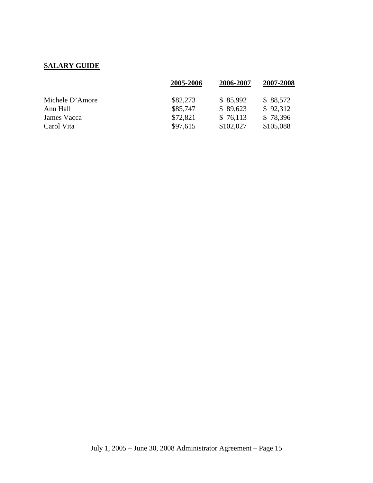# **SALARY GUIDE**

|                 | 2005-2006 | 2006-2007 | 2007-2008 |
|-----------------|-----------|-----------|-----------|
| Michele D'Amore | \$82,273  | \$85,992  | \$88,572  |
| Ann Hall        | \$85,747  | \$89,623  | \$92,312  |
| James Vacca     | \$72,821  | \$76,113  | \$78,396  |
| Carol Vita      | \$97,615  | \$102,027 | \$105,088 |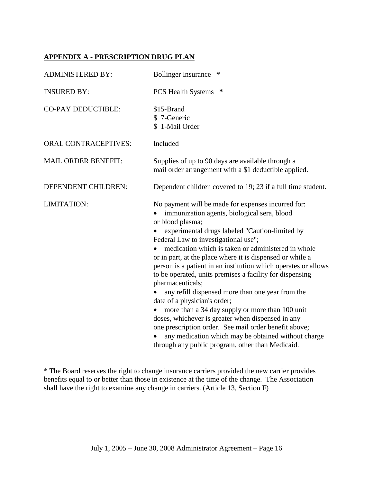# **APPENDIX A - PRESCRIPTION DRUG PLAN**

| <b>ADMINISTERED BY:</b>     | <b>Bollinger Insurance</b><br>∗                                                                                                                                                                                                                                                                                                                                                                                                                                                                                                                                                                                                                                                                                                                                                                                                                      |
|-----------------------------|------------------------------------------------------------------------------------------------------------------------------------------------------------------------------------------------------------------------------------------------------------------------------------------------------------------------------------------------------------------------------------------------------------------------------------------------------------------------------------------------------------------------------------------------------------------------------------------------------------------------------------------------------------------------------------------------------------------------------------------------------------------------------------------------------------------------------------------------------|
| <b>INSURED BY:</b>          | ∗<br><b>PCS Health Systems</b>                                                                                                                                                                                                                                                                                                                                                                                                                                                                                                                                                                                                                                                                                                                                                                                                                       |
| <b>CO-PAY DEDUCTIBLE:</b>   | \$15-Brand<br>\$7-Generic<br>\$ 1-Mail Order                                                                                                                                                                                                                                                                                                                                                                                                                                                                                                                                                                                                                                                                                                                                                                                                         |
| <b>ORAL CONTRACEPTIVES:</b> | Included                                                                                                                                                                                                                                                                                                                                                                                                                                                                                                                                                                                                                                                                                                                                                                                                                                             |
| <b>MAIL ORDER BENEFIT:</b>  | Supplies of up to 90 days are available through a<br>mail order arrangement with a \$1 deductible applied.                                                                                                                                                                                                                                                                                                                                                                                                                                                                                                                                                                                                                                                                                                                                           |
| DEPENDENT CHILDREN:         | Dependent children covered to 19; 23 if a full time student.                                                                                                                                                                                                                                                                                                                                                                                                                                                                                                                                                                                                                                                                                                                                                                                         |
| LIMITATION:                 | No payment will be made for expenses incurred for:<br>immunization agents, biological sera, blood<br>or blood plasma;<br>experimental drugs labeled "Caution-limited by<br>Federal Law to investigational use";<br>medication which is taken or administered in whole<br>or in part, at the place where it is dispensed or while a<br>person is a patient in an institution which operates or allows<br>to be operated, units premises a facility for dispensing<br>pharmaceuticals;<br>any refill dispensed more than one year from the<br>date of a physician's order;<br>more than a 34 day supply or more than 100 unit<br>doses, whichever is greater when dispensed in any<br>one prescription order. See mail order benefit above;<br>any medication which may be obtained without charge<br>through any public program, other than Medicaid. |

\* The Board reserves the right to change insurance carriers provided the new carrier provides benefits equal to or better than those in existence at the time of the change. The Association shall have the right to examine any change in carriers. (Article 13, Section F)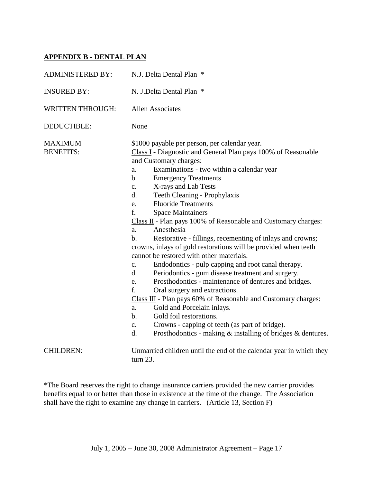# **APPENDIX B - DENTAL PLAN**

| <b>ADMINISTERED BY:</b>            | N.J. Delta Dental Plan *                                                                                                                                                                                                                                                                                                                                                                                                                                                                                                                                                                                                                                                                                                                                                                                                                                                                                                                                                                                                                                                                                                                                                                                              |
|------------------------------------|-----------------------------------------------------------------------------------------------------------------------------------------------------------------------------------------------------------------------------------------------------------------------------------------------------------------------------------------------------------------------------------------------------------------------------------------------------------------------------------------------------------------------------------------------------------------------------------------------------------------------------------------------------------------------------------------------------------------------------------------------------------------------------------------------------------------------------------------------------------------------------------------------------------------------------------------------------------------------------------------------------------------------------------------------------------------------------------------------------------------------------------------------------------------------------------------------------------------------|
| <b>INSURED BY:</b>                 | N. J.Delta Dental Plan *                                                                                                                                                                                                                                                                                                                                                                                                                                                                                                                                                                                                                                                                                                                                                                                                                                                                                                                                                                                                                                                                                                                                                                                              |
| <b>WRITTEN THROUGH:</b>            | <b>Allen Associates</b>                                                                                                                                                                                                                                                                                                                                                                                                                                                                                                                                                                                                                                                                                                                                                                                                                                                                                                                                                                                                                                                                                                                                                                                               |
| <b>DEDUCTIBLE:</b>                 | None                                                                                                                                                                                                                                                                                                                                                                                                                                                                                                                                                                                                                                                                                                                                                                                                                                                                                                                                                                                                                                                                                                                                                                                                                  |
| <b>MAXIMUM</b><br><b>BENEFITS:</b> | \$1000 payable per person, per calendar year.<br>Class I - Diagnostic and General Plan pays 100% of Reasonable<br>and Customary charges:<br>Examinations - two within a calendar year<br>a.<br><b>Emergency Treatments</b><br>$\mathbf{b}$ .<br>X-rays and Lab Tests<br>c.<br>Teeth Cleaning - Prophylaxis<br>d.<br><b>Fluoride Treatments</b><br>e.<br>f.<br><b>Space Maintainers</b><br>Class II - Plan pays 100% of Reasonable and Customary charges:<br>Anesthesia<br>a.<br>Restorative - fillings, recementing of inlays and crowns;<br>$\mathbf{b}$ .<br>crowns, inlays of gold restorations will be provided when teeth<br>cannot be restored with other materials.<br>Endodontics - pulp capping and root canal therapy.<br>$\mathbf{C}$ .<br>Periodontics - gum disease treatment and surgery.<br>d.<br>Prosthodontics - maintenance of dentures and bridges.<br>e.<br>f.<br>Oral surgery and extractions.<br>Class III - Plan pays 60% of Reasonable and Customary charges:<br>Gold and Porcelain inlays.<br>a.<br>Gold foil restorations.<br>$\mathbf{b}$ .<br>Crowns - capping of teeth (as part of bridge).<br>$\mathbf{c}$ .<br>Prosthodontics - making $\&$ installing of bridges $\&$ dentures.<br>d. |
| <b>CHILDREN:</b>                   | Unmarried children until the end of the calendar year in which they<br>turn $23$ .                                                                                                                                                                                                                                                                                                                                                                                                                                                                                                                                                                                                                                                                                                                                                                                                                                                                                                                                                                                                                                                                                                                                    |

\*The Board reserves the right to change insurance carriers provided the new carrier provides benefits equal to or better than those in existence at the time of the change. The Association shall have the right to examine any change in carriers. (Article 13, Section F)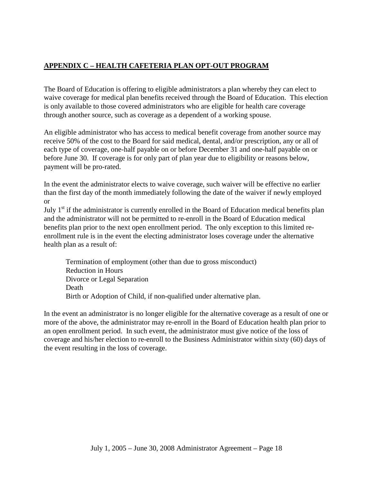# **APPENDIX C – HEALTH CAFETERIA PLAN OPT-OUT PROGRAM**

The Board of Education is offering to eligible administrators a plan whereby they can elect to waive coverage for medical plan benefits received through the Board of Education. This election is only available to those covered administrators who are eligible for health care coverage through another source, such as coverage as a dependent of a working spouse.

An eligible administrator who has access to medical benefit coverage from another source may receive 50% of the cost to the Board for said medical, dental, and/or prescription, any or all of each type of coverage, one-half payable on or before December 31 and one-half payable on or before June 30. If coverage is for only part of plan year due to eligibility or reasons below, payment will be pro-rated.

In the event the administrator elects to waive coverage, such waiver will be effective no earlier than the first day of the month immediately following the date of the waiver if newly employed or

July  $1<sup>st</sup>$  if the administrator is currently enrolled in the Board of Education medical benefits plan and the administrator will not be permitted to re-enroll in the Board of Education medical benefits plan prior to the next open enrollment period. The only exception to this limited reenrollment rule is in the event the electing administrator loses coverage under the alternative health plan as a result of:

 Termination of employment (other than due to gross misconduct) Reduction in Hours Divorce or Legal Separation Death Birth or Adoption of Child, if non-qualified under alternative plan.

In the event an administrator is no longer eligible for the alternative coverage as a result of one or more of the above, the administrator may re-enroll in the Board of Education health plan prior to an open enrollment period. In such event, the administrator must give notice of the loss of coverage and his/her election to re-enroll to the Business Administrator within sixty (60) days of the event resulting in the loss of coverage.